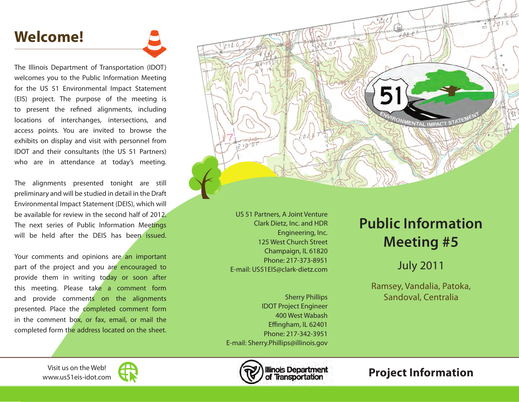## **Welcome!**

The Illinois Department of Transportation (IDOT) welcomes you to the Public Information Meeting for the US 51 Environmental Impact Statement (EIS) project. The purpose of the meeting is to present the refined alignments, including locations of interchanges, intersections, and access points. You are invited to browse the exhibits on display and visit with personnel from IDOT and their consultants (the US 51 Partners) who are in attendance at today's meeting.

The alignments presented tonight are still preliminary and will be studied in detail in the Draft Environmental Impact Statement (DEIS), which will be available for review in the second half of 2012. The next series of Public Information Meetings will be held after the DEIS has been issued.

Your comments and opinions are an important part of the project and you are encouraged to provide them in writing today or soon after this meeting. Please take a comment form and provide comments on the alignments presented. Place the completed comment form in the comment box, or fax, email, or mail the completed form the address located on the sheet.



US 51 Partners, A Joint Venture Clark Dietz, Inc. and HDR Engineering, Inc. 125 West Church Street Champaign, IL 61820 Phone: 217-373-8951 E-mail: US51EIS@clark-dietz.com

Sherry Phillips IDOT Project Engineer 400 West Wabash Effingham, IL 62401 Phone: 217-342-3951 E-mail: Sherry.Phillips@illinois.gov

## **Public Information Meeting #5**

## July 2011

Ramsey, Vandalia, Patoka, Sandoval, Centralia

www.us51eis-idot.com